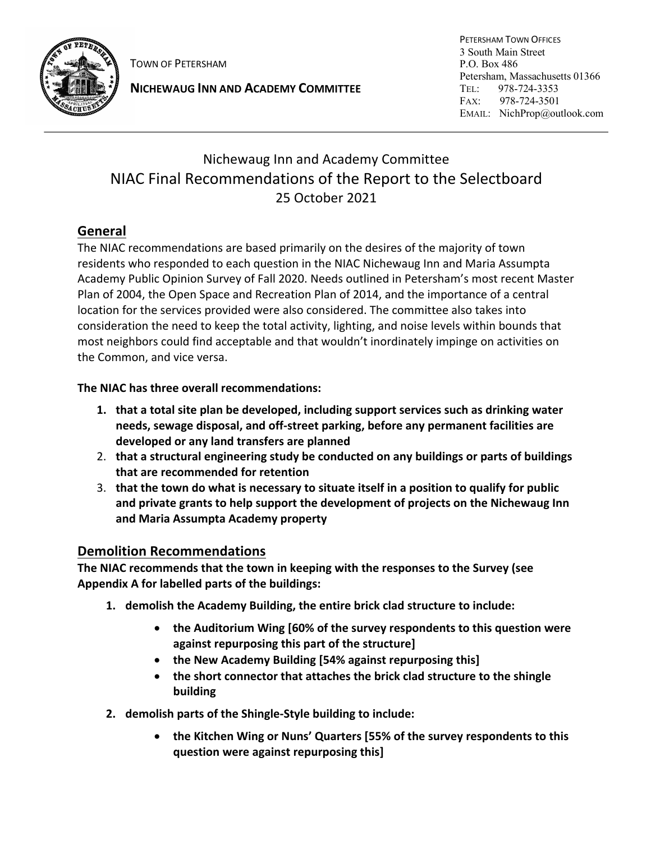

TOWN OF PETERSHAM

**NICHEWAUG INN AND ACADEMY COMMITTEE**

PETERSHAM TOWN OFFICES 3 South Main Street P.O. Box 486 Petersham, Massachusetts 01366 TEL: 978-724-3353 FAX: 978-724-3501 EMAIL: NichProp@outlook.com

# Nichewaug Inn and Academy Committee NIAC Final Recommendations of the Report to the Selectboard 25 October 2021

# **General**

The NIAC recommendations are based primarily on the desires of the majority of town residents who responded to each question in the NIAC Nichewaug Inn and Maria Assumpta Academy Public Opinion Survey of Fall 2020. Needs outlined in Petersham's most recent Master Plan of 2004, the Open Space and Recreation Plan of 2014, and the importance of a central location for the services provided were also considered. The committee also takes into consideration the need to keep the total activity, lighting, and noise levels within bounds that most neighbors could find acceptable and that wouldn't inordinately impinge on activities on the Common, and vice versa.

### **The NIAC has three overall recommendations:**

- **1. that a total site plan be developed, including support services such as drinking water needs, sewage disposal, and off-street parking, before any permanent facilities are developed or any land transfers are planned**
- 2. **that a structural engineering study be conducted on any buildings or parts of buildings that are recommended for retention**
- 3. **that the town do what is necessary to situate itself in a position to qualify for public and private grants to help support the development of projects on the Nichewaug Inn and Maria Assumpta Academy property**

# **Demolition Recommendations**

**The NIAC recommends that the town in keeping with the responses to the Survey (see Appendix A for labelled parts of the buildings:**

- **1. demolish the Academy Building, the entire brick clad structure to include:**
	- **the Auditorium Wing [60% of the survey respondents to this question were against repurposing this part of the structure]**
	- **the New Academy Building [54% against repurposing this]**
	- **the short connector that attaches the brick clad structure to the shingle building**
- **2. demolish parts of the Shingle-Style building to include:** 
	- **the Kitchen Wing or Nuns' Quarters [55% of the survey respondents to this question were against repurposing this]**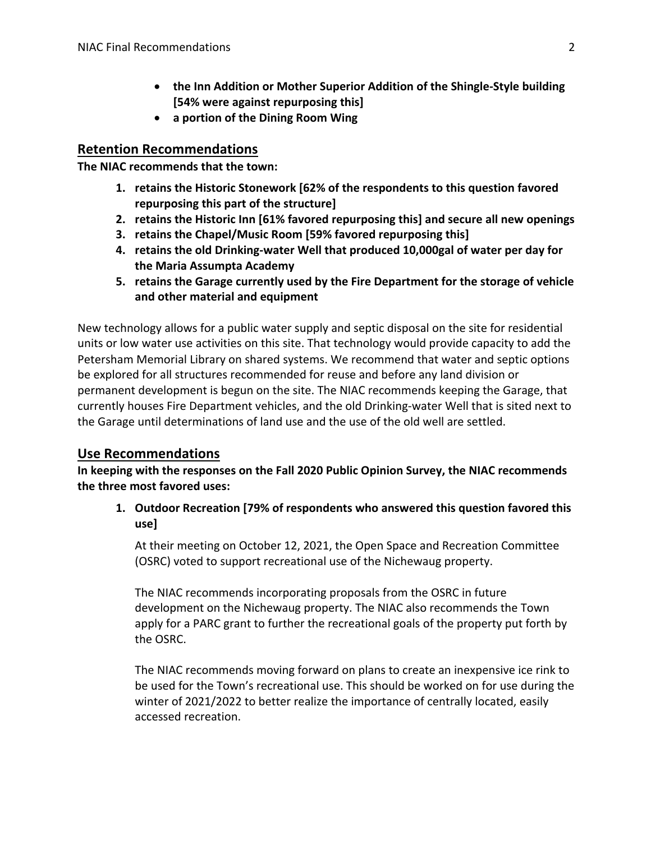- **the Inn Addition or Mother Superior Addition of the Shingle-Style building [54% were against repurposing this]**
- **a portion of the Dining Room Wing**

#### **Retention Recommendations**

**The NIAC recommends that the town:** 

- **1. retains the Historic Stonework [62% of the respondents to this question favored repurposing this part of the structure]**
- **2. retains the Historic Inn [61% favored repurposing this] and secure all new openings**
- **3. retains the Chapel/Music Room [59% favored repurposing this]**
- **4. retains the old Drinking-water Well that produced 10,000gal of water per day for the Maria Assumpta Academy**
- **5. retains the Garage currently used by the Fire Department for the storage of vehicle and other material and equipment**

New technology allows for a public water supply and septic disposal on the site for residential units or low water use activities on this site. That technology would provide capacity to add the Petersham Memorial Library on shared systems. We recommend that water and septic options be explored for all structures recommended for reuse and before any land division or permanent development is begun on the site. The NIAC recommends keeping the Garage, that currently houses Fire Department vehicles, and the old Drinking-water Well that is sited next to the Garage until determinations of land use and the use of the old well are settled.

#### **Use Recommendations**

**In keeping with the responses on the Fall 2020 Public Opinion Survey, the NIAC recommends the three most favored uses:**

**1. Outdoor Recreation [79% of respondents who answered this question favored this use]**

At their meeting on October 12, 2021, the Open Space and Recreation Committee (OSRC) voted to support recreational use of the Nichewaug property.

The NIAC recommends incorporating proposals from the OSRC in future development on the Nichewaug property. The NIAC also recommends the Town apply for a PARC grant to further the recreational goals of the property put forth by the OSRC.

The NIAC recommends moving forward on plans to create an inexpensive ice rink to be used for the Town's recreational use. This should be worked on for use during the winter of 2021/2022 to better realize the importance of centrally located, easily accessed recreation.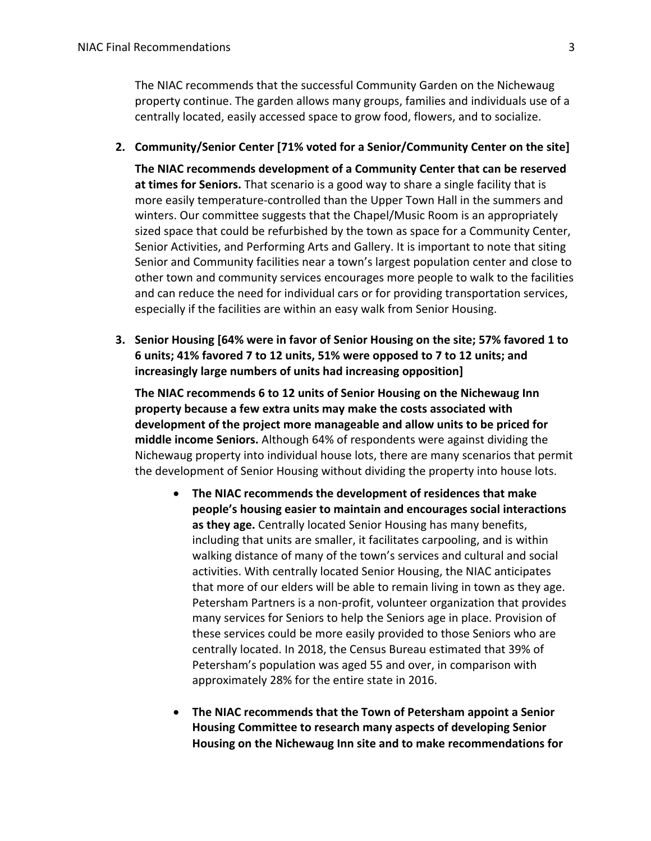The NIAC recommends that the successful Community Garden on the Nichewaug property continue. The garden allows many groups, families and individuals use of a centrally located, easily accessed space to grow food, flowers, and to socialize.

**2. Community/Senior Center [71% voted for a Senior/Community Center on the site]**

**The NIAC recommends development of a Community Center that can be reserved at times for Seniors.** That scenario is a good way to share a single facility that is more easily temperature-controlled than the Upper Town Hall in the summers and winters. Our committee suggests that the Chapel/Music Room is an appropriately sized space that could be refurbished by the town as space for a Community Center, Senior Activities, and Performing Arts and Gallery. It is important to note that siting Senior and Community facilities near a town's largest population center and close to other town and community services encourages more people to walk to the facilities and can reduce the need for individual cars or for providing transportation services, especially if the facilities are within an easy walk from Senior Housing.

**3. Senior Housing [64% were in favor of Senior Housing on the site; 57% favored 1 to 6 units; 41% favored 7 to 12 units, 51% were opposed to 7 to 12 units; and increasingly large numbers of units had increasing opposition]**

**The NIAC recommends 6 to 12 units of Senior Housing on the Nichewaug Inn property because a few extra units may make the costs associated with development of the project more manageable and allow units to be priced for middle income Seniors.** Although 64% of respondents were against dividing the Nichewaug property into individual house lots, there are many scenarios that permit the development of Senior Housing without dividing the property into house lots.

- **The NIAC recommends the development of residences that make people's housing easier to maintain and encourages social interactions as they age.** Centrally located Senior Housing has many benefits, including that units are smaller, it facilitates carpooling, and is within walking distance of many of the town's services and cultural and social activities. With centrally located Senior Housing, the NIAC anticipates that more of our elders will be able to remain living in town as they age. Petersham Partners is a non-profit, volunteer organization that provides many services for Seniors to help the Seniors age in place. Provision of these services could be more easily provided to those Seniors who are centrally located. In 2018, the Census Bureau estimated that 39% of Petersham's population was aged 55 and over, in comparison with approximately 28% for the entire state in 2016.
- **The NIAC recommends that the Town of Petersham appoint a Senior Housing Committee to research many aspects of developing Senior Housing on the Nichewaug Inn site and to make recommendations for**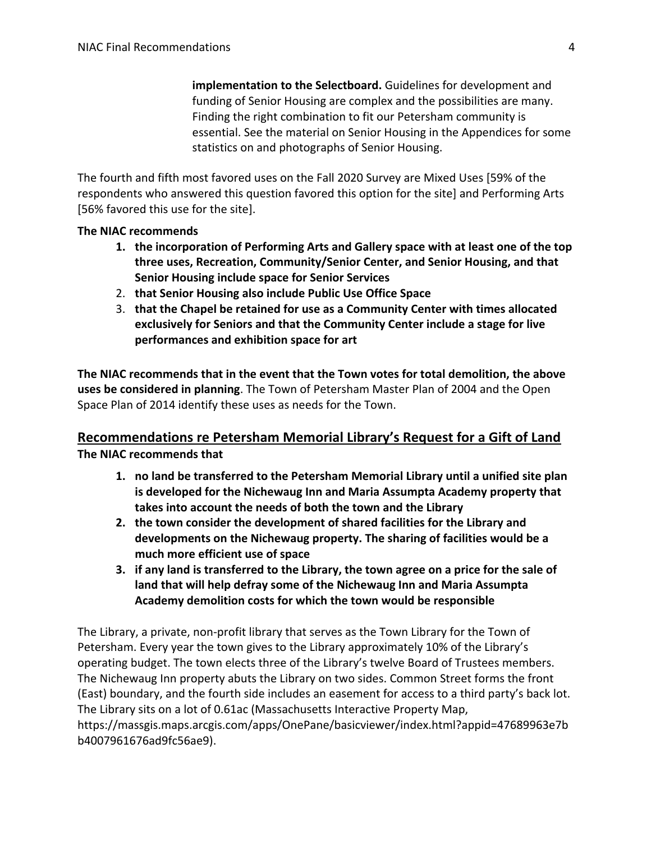**implementation to the Selectboard.** Guidelines for development and funding of Senior Housing are complex and the possibilities are many. Finding the right combination to fit our Petersham community is essential. See the material on Senior Housing in the Appendices for some statistics on and photographs of Senior Housing.

The fourth and fifth most favored uses on the Fall 2020 Survey are Mixed Uses [59% of the respondents who answered this question favored this option for the site] and Performing Arts [56% favored this use for the site].

#### **The NIAC recommends**

- **1. the incorporation of Performing Arts and Gallery space with at least one of the top three uses, Recreation, Community/Senior Center, and Senior Housing, and that Senior Housing include space for Senior Services**
- 2. **that Senior Housing also include Public Use Office Space**
- 3. **that the Chapel be retained for use as a Community Center with times allocated exclusively for Seniors and that the Community Center include a stage for live performances and exhibition space for art**

**The NIAC recommends that in the event that the Town votes for total demolition, the above uses be considered in planning**. The Town of Petersham Master Plan of 2004 and the Open Space Plan of 2014 identify these uses as needs for the Town.

# **Recommendations re Petersham Memorial Library's Request for a Gift of Land The NIAC recommends that**

- **1. no land be transferred to the Petersham Memorial Library until a unified site plan is developed for the Nichewaug Inn and Maria Assumpta Academy property that takes into account the needs of both the town and the Library**
- **2. the town consider the development of shared facilities for the Library and developments on the Nichewaug property. The sharing of facilities would be a much more efficient use of space**
- **3. if any land is transferred to the Library, the town agree on a price for the sale of land that will help defray some of the Nichewaug Inn and Maria Assumpta Academy demolition costs for which the town would be responsible**

The Library, a private, non-profit library that serves as the Town Library for the Town of Petersham. Every year the town gives to the Library approximately 10% of the Library's operating budget. The town elects three of the Library's twelve Board of Trustees members. The Nichewaug Inn property abuts the Library on two sides. Common Street forms the front (East) boundary, and the fourth side includes an easement for access to a third party's back lot. The Library sits on a lot of 0.61ac (Massachusetts Interactive Property Map,

https://massgis.maps.arcgis.com/apps/OnePane/basicviewer/index.html?appid=47689963e7b b4007961676ad9fc56ae9).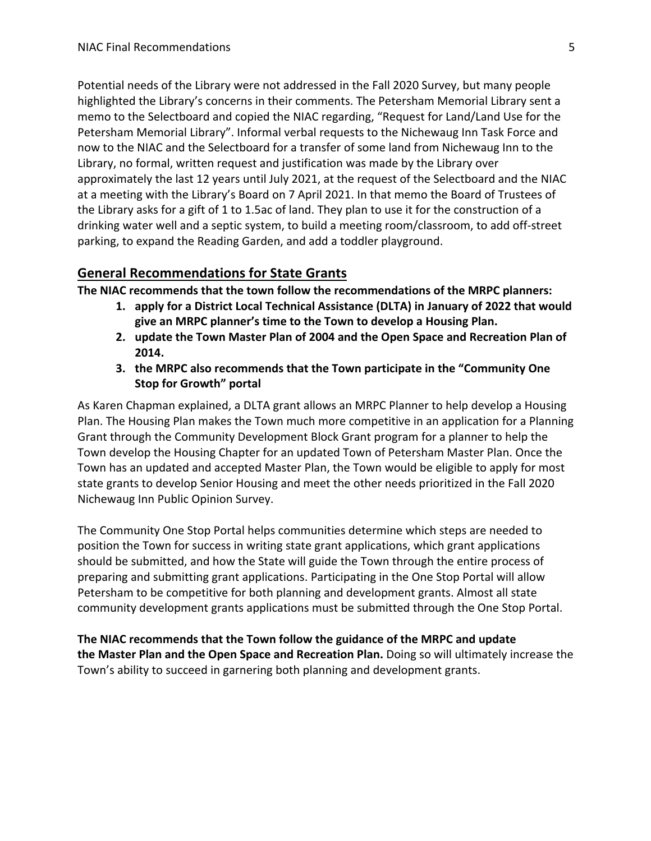Potential needs of the Library were not addressed in the Fall 2020 Survey, but many people highlighted the Library's concerns in their comments. The Petersham Memorial Library sent a memo to the Selectboard and copied the NIAC regarding, "Request for Land/Land Use for the Petersham Memorial Library". Informal verbal requests to the Nichewaug Inn Task Force and now to the NIAC and the Selectboard for a transfer of some land from Nichewaug Inn to the Library, no formal, written request and justification was made by the Library over approximately the last 12 years until July 2021, at the request of the Selectboard and the NIAC at a meeting with the Library's Board on 7 April 2021. In that memo the Board of Trustees of the Library asks for a gift of 1 to 1.5ac of land. They plan to use it for the construction of a drinking water well and a septic system, to build a meeting room/classroom, to add off-street parking, to expand the Reading Garden, and add a toddler playground.

#### **General Recommendations for State Grants**

**The NIAC recommends that the town follow the recommendations of the MRPC planners:** 

- **1. apply for a District Local Technical Assistance (DLTA) in January of 2022 that would give an MRPC planner's time to the Town to develop a Housing Plan.**
- **2. update the Town Master Plan of 2004 and the Open Space and Recreation Plan of 2014.**
- **3. the MRPC also recommends that the Town participate in the "Community One Stop for Growth" portal**

As Karen Chapman explained, a DLTA grant allows an MRPC Planner to help develop a Housing Plan. The Housing Plan makes the Town much more competitive in an application for a Planning Grant through the Community Development Block Grant program for a planner to help the Town develop the Housing Chapter for an updated Town of Petersham Master Plan. Once the Town has an updated and accepted Master Plan, the Town would be eligible to apply for most state grants to develop Senior Housing and meet the other needs prioritized in the Fall 2020 Nichewaug Inn Public Opinion Survey.

The Community One Stop Portal helps communities determine which steps are needed to position the Town for success in writing state grant applications, which grant applications should be submitted, and how the State will guide the Town through the entire process of preparing and submitting grant applications. Participating in the One Stop Portal will allow Petersham to be competitive for both planning and development grants. Almost all state community development grants applications must be submitted through the One Stop Portal.

**The NIAC recommends that the Town follow the guidance of the MRPC and update the Master Plan and the Open Space and Recreation Plan.** Doing so will ultimately increase the Town's ability to succeed in garnering both planning and development grants.